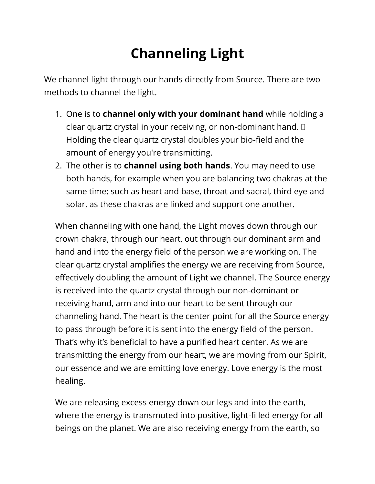## **Channeling Light**

We channel light through our hands directly from Source. There are two methods to channel the light.

- 1. One is to **channel only with your dominant hand** while holding a clear quartz crystal in your receiving, or non-dominant hand. Holding the clear quartz crystal doubles your bio-field and the amount of energy you're transmitting.
- 2. The other is to **channel using both hands**. You may need to use both hands, for example when you are balancing two chakras at the same time: such as heart and base, throat and sacral, third eye and solar, as these chakras are linked and support one another.

When channeling with one hand, the Light moves down through our crown chakra, through our heart, out through our dominant arm and hand and into the energy field of the person we are working on. The clear quartz crystal amplifies the energy we are receiving from Source, effectively doubling the amount of Light we channel. The Source energy is received into the quartz crystal through our non-dominant or receiving hand, arm and into our heart to be sent through our channeling hand. The heart is the center point for all the Source energy to pass through before it is sent into the energy field of the person. That's why it's beneficial to have a purified heart center. As we are transmitting the energy from our heart, we are moving from our Spirit, our essence and we are emitting love energy. Love energy is the most healing.

We are releasing excess energy down our legs and into the earth, where the energy is transmuted into positive, light-filled energy for all beings on the planet. We are also receiving energy from the earth, so